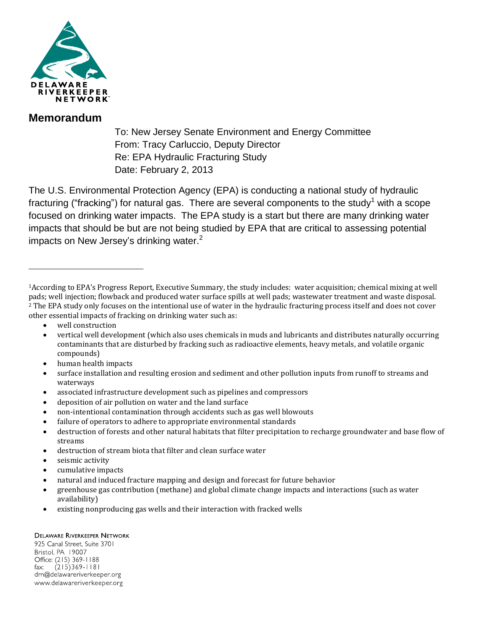

## **Memorandum**

To: New Jersey Senate Environment and Energy Committee From: Tracy Carluccio, Deputy Director Re: EPA Hydraulic Fracturing Study Date: February 2, 2013

The U.S. Environmental Protection Agency (EPA) is conducting a national study of hydraulic fracturing ("fracking") for natural gas. There are several components to the study<sup>1</sup> with a scope focused on drinking water impacts. The EPA study is a start but there are many drinking water impacts that should be but are not being studied by EPA that are critical to assessing potential impacts on New Jersey's drinking water.<sup>2</sup>

well construction

 $\overline{a}$ 

- vertical well development (which also uses chemicals in muds and lubricants and distributes naturally occurring contaminants that are disturbed by fracking such as radioactive elements, heavy metals, and volatile organic compounds)
- human health impacts
- surface installation and resulting erosion and sediment and other pollution inputs from runoff to streams and waterways
- associated infrastructure development such as pipelines and compressors
- deposition of air pollution on water and the land surface
- non-intentional contamination through accidents such as gas well blowouts
- failure of operators to adhere to appropriate environmental standards
- destruction of forests and other natural habitats that filter precipitation to recharge groundwater and base flow of streams
- destruction of stream biota that filter and clean surface water
- seismic activity
- cumulative impacts
- natural and induced fracture mapping and design and forecast for future behavior
- greenhouse gas contribution (methane) and global climate change impacts and interactions (such as water availability)
- existing nonproducing gas wells and their interaction with fracked wells

## **DELAWARE RIVERKEEPER NETWORK**

925 Canal Street, Suite 3701 Bristol, PA 19007 Office: (215) 369-1188  $(215)369 - 1181$ fax: drn@delawareriverkeeper.org www.delawareriverkeeper.org

<sup>1</sup>According to EPA's Progress Report, Executive Summary, the study includes: water acquisition; chemical mixing at well pads; well injection; flowback and produced water surface spills at well pads; wastewater treatment and waste disposal. <sup>2</sup> The EPA study only focuses on the intentional use of water in the hydraulic fracturing process itself and does not cover other essential impacts of fracking on drinking water such as: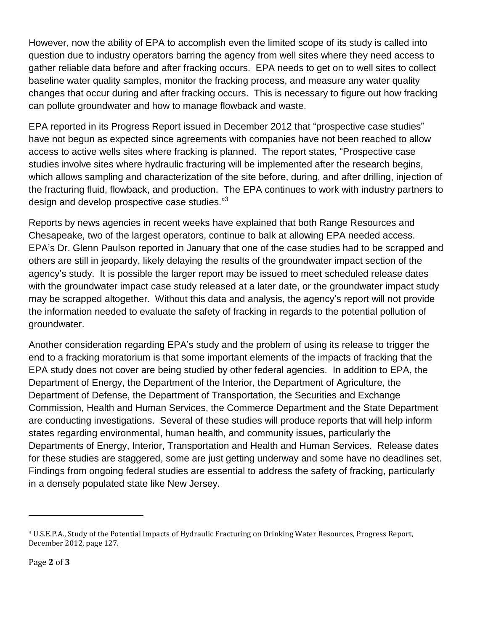However, now the ability of EPA to accomplish even the limited scope of its study is called into question due to industry operators barring the agency from well sites where they need access to gather reliable data before and after fracking occurs. EPA needs to get on to well sites to collect baseline water quality samples, monitor the fracking process, and measure any water quality changes that occur during and after fracking occurs. This is necessary to figure out how fracking can pollute groundwater and how to manage flowback and waste.

EPA reported in its Progress Report issued in December 2012 that "prospective case studies" have not begun as expected since agreements with companies have not been reached to allow access to active wells sites where fracking is planned. The report states, "Prospective case studies involve sites where hydraulic fracturing will be implemented after the research begins, which allows sampling and characterization of the site before, during, and after drilling, injection of the fracturing fluid, flowback, and production. The EPA continues to work with industry partners to design and develop prospective case studies."<sup>3</sup>

Reports by news agencies in recent weeks have explained that both Range Resources and Chesapeake, two of the largest operators, continue to balk at allowing EPA needed access. EPA's Dr. Glenn Paulson reported in January that one of the case studies had to be scrapped and others are still in jeopardy, likely delaying the results of the groundwater impact section of the agency's study. It is possible the larger report may be issued to meet scheduled release dates with the groundwater impact case study released at a later date, or the groundwater impact study may be scrapped altogether. Without this data and analysis, the agency's report will not provide the information needed to evaluate the safety of fracking in regards to the potential pollution of groundwater.

Another consideration regarding EPA's study and the problem of using its release to trigger the end to a fracking moratorium is that some important elements of the impacts of fracking that the EPA study does not cover are being studied by other federal agencies. In addition to EPA, the Department of Energy, the Department of the Interior, the Department of Agriculture, the Department of Defense, the Department of Transportation, the Securities and Exchange Commission, Health and Human Services, the Commerce Department and the State Department are conducting investigations. Several of these studies will produce reports that will help inform states regarding environmental, human health, and community issues, particularly the Departments of Energy, Interior, Transportation and Health and Human Services. Release dates for these studies are staggered, some are just getting underway and some have no deadlines set. Findings from ongoing federal studies are essential to address the safety of fracking, particularly in a densely populated state like New Jersey.

l

<sup>3</sup> U.S.E.P.A., Study of the Potential Impacts of Hydraulic Fracturing on Drinking Water Resources, Progress Report, December 2012, page 127.